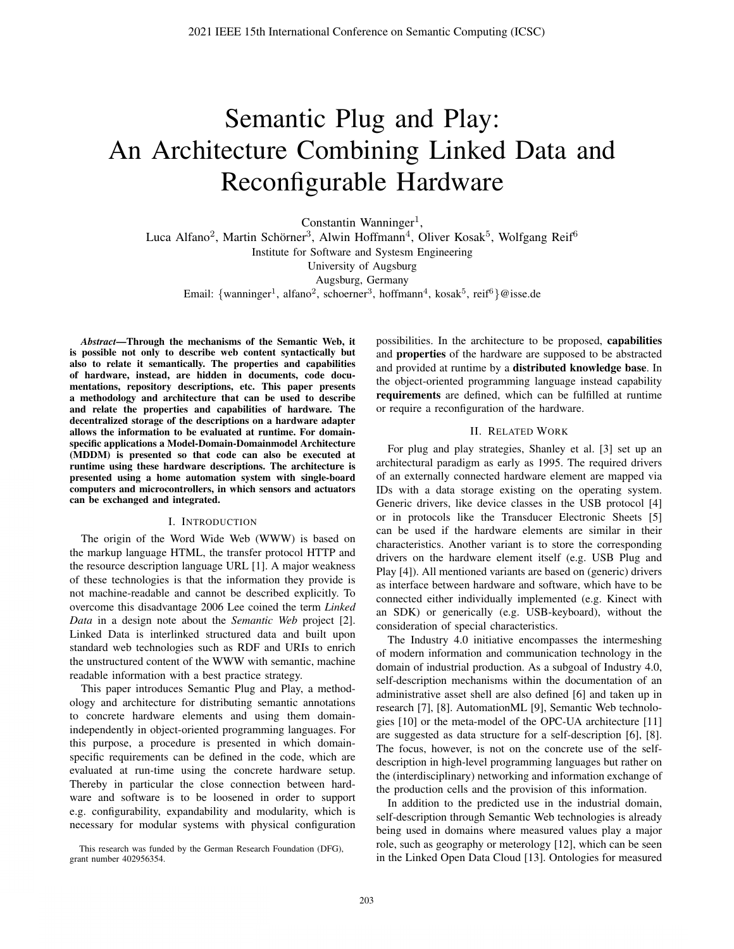# Semantic Plug and Play: An Architecture Combining Linked Data and Reconfigurable Hardware

Constantin Wanninger<sup>1</sup>, Luca Alfano<sup>2</sup>, Martin Schörner<sup>3</sup>, Alwin Hoffmann<sup>4</sup>, Oliver Kosak<sup>5</sup>, Wolfgang Reif<sup>6</sup> Institute for Software and Systesm Engineering University of Augsburg Augsburg, Germany Email: {wanninger<sup>1</sup>, alfano<sup>2</sup>, schoerner<sup>3</sup>, hoffmann<sup>4</sup>, kosak<sup>5</sup>, reif<sup>6</sup>}@isse.de

*Abstract*—Through the mechanisms of the Semantic Web, it is possible not only to describe web content syntactically but also to relate it semantically. The properties and capabilities of hardware, instead, are hidden in documents, code documentations, repository descriptions, etc. This paper presents a methodology and architecture that can be used to describe and relate the properties and capabilities of hardware. The decentralized storage of the descriptions on a hardware adapter allows the information to be evaluated at runtime. For domainspecific applications a Model-Domain-Domainmodel Architecture (MDDM) is presented so that code can also be executed at runtime using these hardware descriptions. The architecture is presented using a home automation system with single-board computers and microcontrollers, in which sensors and actuators can be exchanged and integrated.

#### I. INTRODUCTION

The origin of the Word Wide Web (WWW) is based on the markup language HTML, the transfer protocol HTTP and the resource description language URL [1]. A major weakness of these technologies is that the information they provide is not machine-readable and cannot be described explicitly. To overcome this disadvantage 2006 Lee coined the term *Linked Data* in a design note about the *Semantic Web* project [2]. Linked Data is interlinked structured data and built upon standard web technologies such as RDF and URIs to enrich the unstructured content of the WWW with semantic, machine readable information with a best practice strategy.

This paper introduces Semantic Plug and Play, a methodology and architecture for distributing semantic annotations to concrete hardware elements and using them domainindependently in object-oriented programming languages. For this purpose, a procedure is presented in which domainspecific requirements can be defined in the code, which are evaluated at run-time using the concrete hardware setup. Thereby in particular the close connection between hardware and software is to be loosened in order to support e.g. configurability, expandability and modularity, which is necessary for modular systems with physical configuration possibilities. In the architecture to be proposed, capabilities and properties of the hardware are supposed to be abstracted and provided at runtime by a distributed knowledge base. In the object-oriented programming language instead capability requirements are defined, which can be fulfilled at runtime or require a reconfiguration of the hardware.

#### II. RELATED WORK

For plug and play strategies, Shanley et al. [3] set up an architectural paradigm as early as 1995. The required drivers of an externally connected hardware element are mapped via IDs with a data storage existing on the operating system. Generic drivers, like device classes in the USB protocol [4] or in protocols like the Transducer Electronic Sheets [5] can be used if the hardware elements are similar in their characteristics. Another variant is to store the corresponding drivers on the hardware element itself (e.g. USB Plug and Play [4]). All mentioned variants are based on (generic) drivers as interface between hardware and software, which have to be connected either individually implemented (e.g. Kinect with an SDK) or generically (e.g. USB-keyboard), without the consideration of special characteristics.

The Industry 4.0 initiative encompasses the intermeshing of modern information and communication technology in the domain of industrial production. As a subgoal of Industry 4.0, self-description mechanisms within the documentation of an administrative asset shell are also defined [6] and taken up in research [7], [8]. AutomationML [9], Semantic Web technologies [10] or the meta-model of the OPC-UA architecture [11] are suggested as data structure for a self-description [6], [8]. The focus, however, is not on the concrete use of the selfdescription in high-level programming languages but rather on the (interdisciplinary) networking and information exchange of the production cells and the provision of this information.

In addition to the predicted use in the industrial domain, self-description through Semantic Web technologies is already being used in domains where measured values play a major role, such as geography or meterology [12], which can be seen in the Linked Open Data Cloud [13]. Ontologies for measured

This research was funded by the German Research Foundation (DFG), grant number 402956354.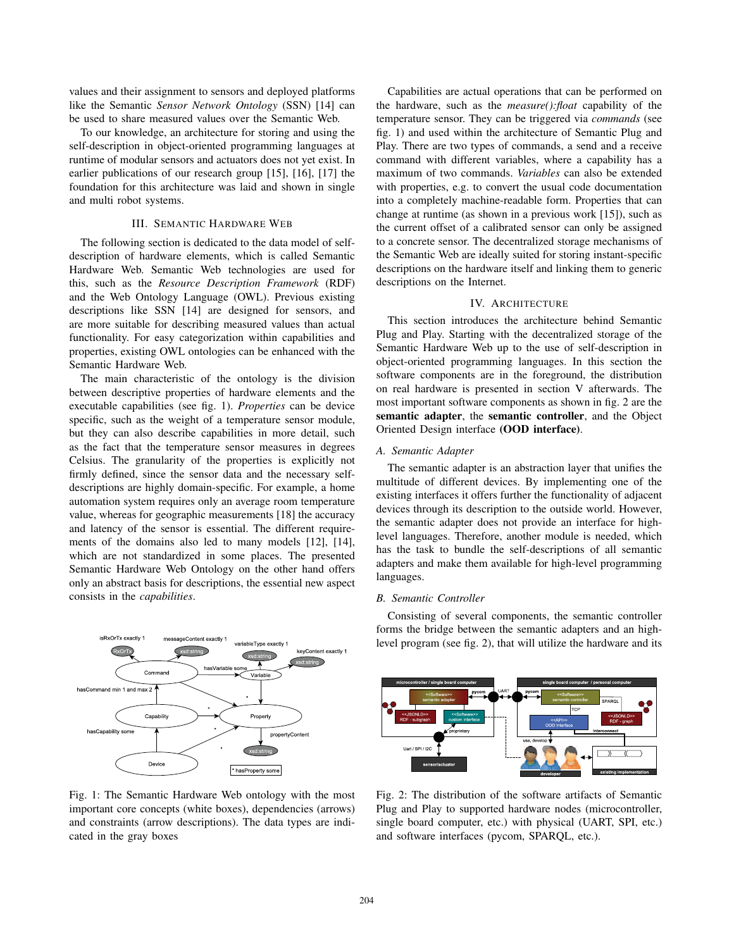values and their assignment to sensors and deployed platforms like the Semantic *Sensor Network Ontology* (SSN) [14] can be used to share measured values over the Semantic Web.

To our knowledge, an architecture for storing and using the self-description in object-oriented programming languages at runtime of modular sensors and actuators does not yet exist. In earlier publications of our research group [15], [16], [17] the foundation for this architecture was laid and shown in single and multi robot systems.

# III. SEMANTIC HARDWARE WEB

The following section is dedicated to the data model of selfdescription of hardware elements, which is called Semantic Hardware Web. Semantic Web technologies are used for this, such as the *Resource Description Framework* (RDF) and the Web Ontology Language (OWL). Previous existing descriptions like SSN [14] are designed for sensors, and are more suitable for describing measured values than actual functionality. For easy categorization within capabilities and properties, existing OWL ontologies can be enhanced with the Semantic Hardware Web.

The main characteristic of the ontology is the division between descriptive properties of hardware elements and the executable capabilities (see fig. 1). *Properties* can be device specific, such as the weight of a temperature sensor module, but they can also describe capabilities in more detail, such as the fact that the temperature sensor measures in degrees Celsius. The granularity of the properties is explicitly not firmly defined, since the sensor data and the necessary selfdescriptions are highly domain-specific. For example, a home automation system requires only an average room temperature value, whereas for geographic measurements [18] the accuracy and latency of the sensor is essential. The different requirements of the domains also led to many models [12], [14], which are not standardized in some places. The presented Semantic Hardware Web Ontology on the other hand offers only an abstract basis for descriptions, the essential new aspect consists in the *capabilities*.



Fig. 1: The Semantic Hardware Web ontology with the most important core concepts (white boxes), dependencies (arrows) and constraints (arrow descriptions). The data types are indicated in the gray boxes

Capabilities are actual operations that can be performed on the hardware, such as the *measure():float* capability of the temperature sensor. They can be triggered via *commands* (see fig. 1) and used within the architecture of Semantic Plug and Play. There are two types of commands, a send and a receive command with different variables, where a capability has a maximum of two commands. *Variables* can also be extended with properties, e.g. to convert the usual code documentation into a completely machine-readable form. Properties that can change at runtime (as shown in a previous work [15]), such as the current offset of a calibrated sensor can only be assigned to a concrete sensor. The decentralized storage mechanisms of the Semantic Web are ideally suited for storing instant-specific descriptions on the hardware itself and linking them to generic descriptions on the Internet.

## IV. ARCHITECTURE

This section introduces the architecture behind Semantic Plug and Play. Starting with the decentralized storage of the Semantic Hardware Web up to the use of self-description in object-oriented programming languages. In this section the software components are in the foreground, the distribution on real hardware is presented in section V afterwards. The most important software components as shown in fig. 2 are the semantic adapter, the semantic controller, and the Object Oriented Design interface (OOD interface).

## *A. Semantic Adapter*

The semantic adapter is an abstraction layer that unifies the multitude of different devices. By implementing one of the existing interfaces it offers further the functionality of adjacent devices through its description to the outside world. However, the semantic adapter does not provide an interface for highlevel languages. Therefore, another module is needed, which has the task to bundle the self-descriptions of all semantic adapters and make them available for high-level programming languages.

#### *B. Semantic Controller*

Consisting of several components, the semantic controller forms the bridge between the semantic adapters and an highlevel program (see fig. 2), that will utilize the hardware and its



Fig. 2: The distribution of the software artifacts of Semantic Plug and Play to supported hardware nodes (microcontroller, single board computer, etc.) with physical (UART, SPI, etc.) and software interfaces (pycom, SPARQL, etc.).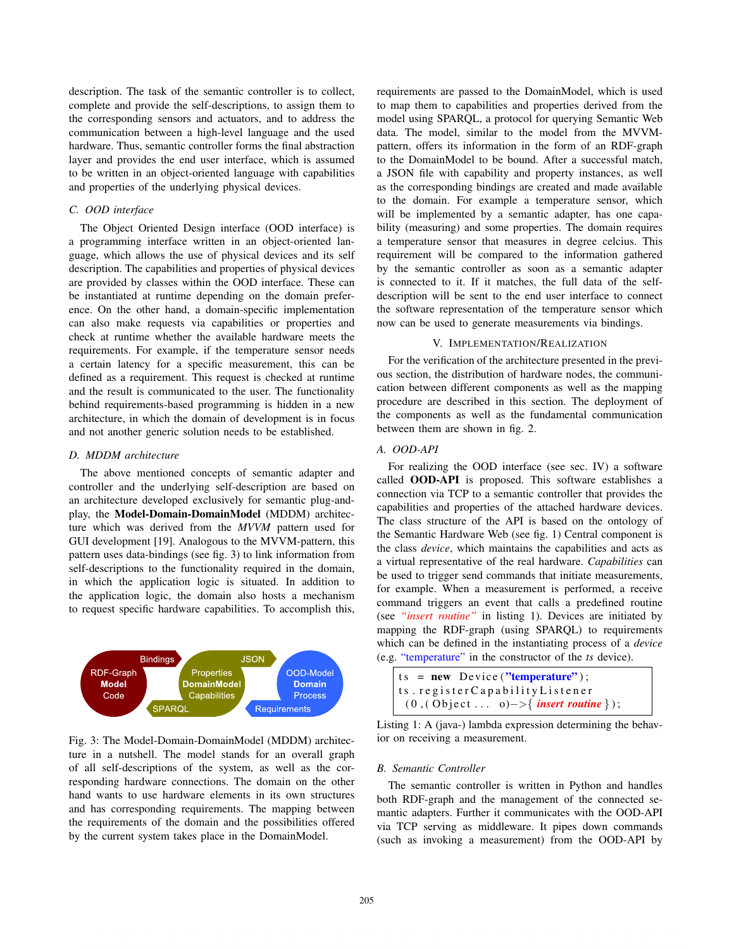description. The task of the semantic controller is to collect, complete and provide the self-descriptions, to assign them to the corresponding sensors and actuators, and to address the communication between a high-level language and the used hardware. Thus, semantic controller forms the final abstraction layer and provides the end user interface, which is assumed to be written in an object-oriented language with capabilities and properties of the underlying physical devices.

# *C. OOD interface*

The Object Oriented Design interface (OOD interface) is a programming interface written in an object-oriented language, which allows the use of physical devices and its self description. The capabilities and properties of physical devices are provided by classes within the OOD interface. These can be instantiated at runtime depending on the domain preference. On the other hand, a domain-specific implementation can also make requests via capabilities or properties and check at runtime whether the available hardware meets the requirements. For example, if the temperature sensor needs a certain latency for a specific measurement, this can be defined as a requirement. This request is checked at runtime and the result is communicated to the user. The functionality behind requirements-based programming is hidden in a new architecture, in which the domain of development is in focus and not another generic solution needs to be established.

# *D. MDDM architecture*

The above mentioned concepts of semantic adapter and controller and the underlying self-description are based on an architecture developed exclusively for semantic plug-andplay, the Model-Domain-DomainModel (MDDM) architecture which was derived from the *MVVM* pattern used for GUI development [19]. Analogous to the MVVM-pattern, this pattern uses data-bindings (see fig. 3) to link information from self-descriptions to the functionality required in the domain, in which the application logic is situated. In addition to the application logic, the domain also hosts a mechanism to request specific hardware capabilities. To accomplish this,



Fig. 3: The Model-Domain-DomainModel (MDDM) architecture in a nutshell. The model stands for an overall graph of all self-descriptions of the system, as well as the corresponding hardware connections. The domain on the other hand wants to use hardware elements in its own structures and has corresponding requirements. The mapping between the requirements of the domain and the possibilities offered by the current system takes place in the DomainModel.

requirements are passed to the DomainModel, which is used to map them to capabilities and properties derived from the model using SPARQL, a protocol for querying Semantic Web data. The model, similar to the model from the MVVMpattern, offers its information in the form of an RDF-graph to the DomainModel to be bound. After a successful match, a JSON file with capability and property instances, as well as the corresponding bindings are created and made available to the domain. For example a temperature sensor, which will be implemented by a semantic adapter, has one capability (measuring) and some properties. The domain requires a temperature sensor that measures in degree celcius. This requirement will be compared to the information gathered by the semantic controller as soon as a semantic adapter is connected to it. If it matches, the full data of the selfdescription will be sent to the end user interface to connect the software representation of the temperature sensor which now can be used to generate measurements via bindings.

# V. IMPLEMENTATION/REALIZATION

For the verification of the architecture presented in the previous section, the distribution of hardware nodes, the communication between different components as well as the mapping procedure are described in this section. The deployment of the components as well as the fundamental communication between them are shown in fig. 2.

# *A. OOD-API*

For realizing the OOD interface (see sec. IV) a software called OOD-API is proposed. This software establishes a connection via TCP to a semantic controller that provides the capabilities and properties of the attached hardware devices. The class structure of the API is based on the ontology of the Semantic Hardware Web (see fig. 1) Central component is the class *device*, which maintains the capabilities and acts as a virtual representative of the real hardware. *Capabilities* can be used to trigger send commands that initiate measurements, for example. When a measurement is performed, a receive command triggers an event that calls a predefined routine (see *"insert routine"* in listing 1). Devices are initiated by mapping the RDF-graph (using SPARQL) to requirements which can be defined in the instantiating process of a *device* (e.g. "temperature" in the constructor of the *ts* device).

```
ts = new Device("temperature");
ts.registerCapabilityListener
 ( 0 , ( O b j e c t . . . . o) − > { insert routine } );
```

```
Listing 1: A (java-) lambda expression determining the behav-
ior on receiving a measurement.
```
#### *B. Semantic Controller*

The semantic controller is written in Python and handles both RDF-graph and the management of the connected semantic adapters. Further it communicates with the OOD-API via TCP serving as middleware. It pipes down commands (such as invoking a measurement) from the OOD-API by